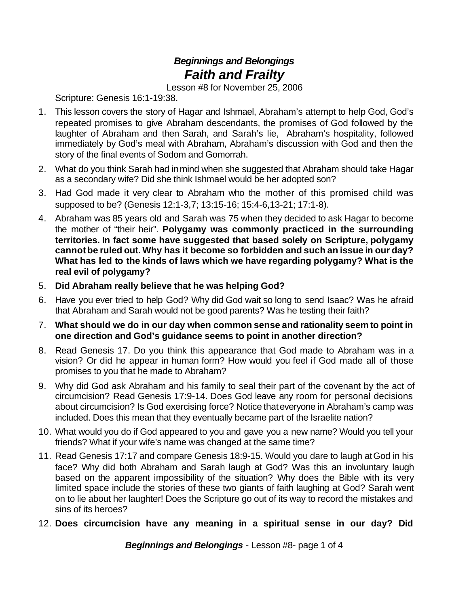## *Beginnings and Belongings Faith and Frailty*

Lesson #8 for November 25, 2006

Scripture: Genesis 16:1-19:38.

- 1. This lesson covers the story of Hagar and Ishmael, Abraham's attempt to help God, God's repeated promises to give Abraham descendants, the promises of God followed by the laughter of Abraham and then Sarah, and Sarah's lie, Abraham's hospitality, followed immediately by God's meal with Abraham, Abraham's discussion with God and then the story of the final events of Sodom and Gomorrah.
- 2. What do you think Sarah had inmind when she suggested that Abraham should take Hagar as a secondary wife? Did she think Ishmael would be her adopted son?
- 3. Had God made it very clear to Abraham who the mother of this promised child was supposed to be? (Genesis 12:1-3,7; 13:15-16; 15:4-6,13-21; 17:1-8).
- 4. Abraham was 85 years old and Sarah was 75 when they decided to ask Hagar to become the mother of "their heir". **Polygamy was commonly practiced in the surrounding territories. In fact some have suggested that based solely on Scripture, polygamy cannotbe ruled out. Why has it become so forbidden and such an issue in our day? What has led to the kinds of laws which we have regarding polygamy? What is the real evil of polygamy?**
- 5. **Did Abraham really believe that he was helping God?**
- 6. Have you ever tried to help God? Why did God wait so long to send Isaac? Was he afraid that Abraham and Sarah would not be good parents? Was he testing their faith?
- 7. **What should we do in our day when common sense and rationality seem to point in one direction and God's guidance seems to point in another direction?**
- 8. Read Genesis 17. Do you think this appearance that God made to Abraham was in a vision? Or did he appear in human form? How would you feel if God made all of those promises to you that he made to Abraham?
- 9. Why did God ask Abraham and his family to seal their part of the covenant by the act of circumcision? Read Genesis 17:9-14. Does God leave any room for personal decisions about circumcision? Is God exercising force? Notice thateveryone in Abraham's camp was included. Does this mean that they eventually became part of the Israelite nation?
- 10. What would you do if God appeared to you and gave you a new name? Would you tell your friends? What if your wife's name was changed at the same time?
- 11. Read Genesis 17:17 and compare Genesis 18:9-15. Would you dare to laugh atGod in his face? Why did both Abraham and Sarah laugh at God? Was this an involuntary laugh based on the apparent impossibility of the situation? Why does the Bible with its very limited space include the stories of these two giants of faith laughing at God? Sarah went on to lie about her laughter! Does the Scripture go out of its way to record the mistakes and sins of its heroes?
- 12. **Does circumcision have any meaning in a spiritual sense in our day? Did**

*Beginnings and Belongings* - Lesson #8- page 1 of 4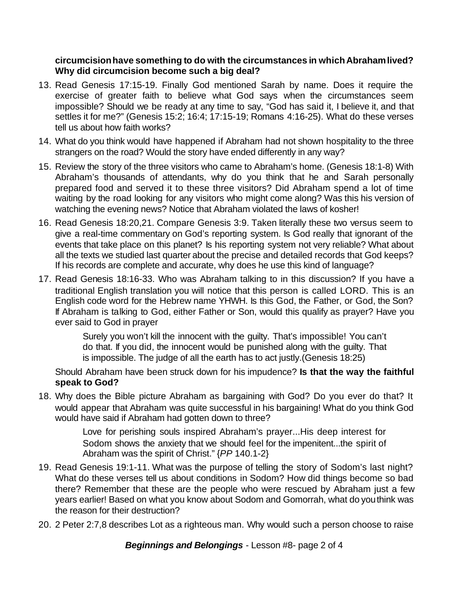## **circumcisionhave something to do with the circumstances in whichAbrahamlived? Why did circumcision become such a big deal?**

- 13. Read Genesis 17:15-19. Finally God mentioned Sarah by name. Does it require the exercise of greater faith to believe what God says when the circumstances seem impossible? Should we be ready at any time to say, "God has said it, I believe it, and that settles it for me?" (Genesis 15:2; 16:4; 17:15-19; Romans 4:16-25). What do these verses tell us about how faith works?
- 14. What do you think would have happened if Abraham had not shown hospitality to the three strangers on the road? Would the story have ended differently in any way?
- 15. Review the story of the three visitors who came to Abraham's home. (Genesis 18:1-8) With Abraham's thousands of attendants, why do you think that he and Sarah personally prepared food and served it to these three visitors? Did Abraham spend a lot of time waiting by the road looking for any visitors who might come along? Was this his version of watching the evening news? Notice that Abraham violated the laws of kosher!
- 16. Read Genesis 18:20,21. Compare Genesis 3:9. Taken literally these two versus seem to give a real-time commentary on God's reporting system. Is God really that ignorant of the events that take place on this planet? Is his reporting system not very reliable? What about all the texts we studied last quarter about the precise and detailed records that God keeps? If his records are complete and accurate, why does he use this kind of language?
- 17. Read Genesis 18:16-33. Who was Abraham talking to in this discussion? If you have a traditional English translation you will notice that this person is called LORD. This is an English code word for the Hebrew name YHWH. Is this God, the Father, or God, the Son? If Abraham is talking to God, either Father or Son, would this qualify as prayer? Have you ever said to God in prayer

Surely you won't kill the innocent with the guilty. That's impossible! You can't do that. If you did, the innocent would be punished along with the guilty. That is impossible. The judge of all the earth has to act justly.(Genesis 18:25)

Should Abraham have been struck down for his impudence? **Is that the way the faithful speak to God?**

18. Why does the Bible picture Abraham as bargaining with God? Do you ever do that? It would appear that Abraham was quite successful in his bargaining! What do you think God would have said if Abraham had gotten down to three?

> Love for perishing souls inspired Abraham's prayer...His deep interest for Sodom shows the anxiety that we should feel for the impenitent...the spirit of Abraham was the spirit of Christ." {*PP* 140.1-2}

- 19. Read Genesis 19:1-11. What was the purpose of telling the story of Sodom's last night? What do these verses tell us about conditions in Sodom? How did things become so bad there? Remember that these are the people who were rescued by Abraham just a few years earlier! Based on what you know about Sodom and Gomorrah, what do youthink was the reason for their destruction?
- 20. 2 Peter 2:7,8 describes Lot as a righteous man. Why would such a person choose to raise

*Beginnings and Belongings* - Lesson #8- page 2 of 4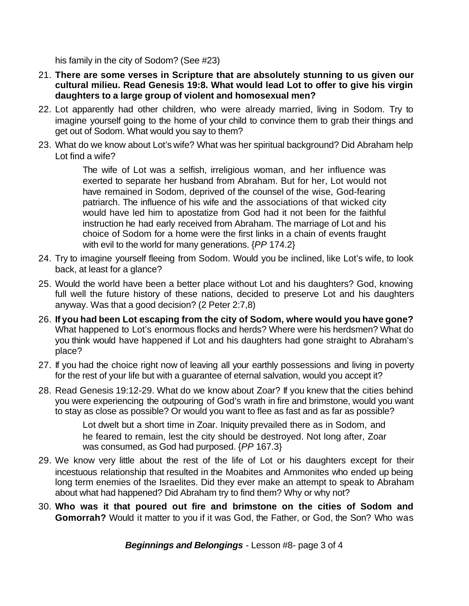his family in the city of Sodom? (See #23)

- 21. **There are some verses in Scripture that are absolutely stunning to us given our cultural milieu. Read Genesis 19:8. What would lead Lot to offer to give his virgin daughters to a large group of violent and homosexual men?**
- 22. Lot apparently had other children, who were already married, living in Sodom. Try to imagine yourself going to the home of your child to convince them to grab their things and get out of Sodom. What would you say to them?
- 23. What do we know about Lot's wife? What was her spiritual background? Did Abraham help Lot find a wife?

The wife of Lot was a selfish, irreligious woman, and her influence was exerted to separate her husband from Abraham. But for her, Lot would not have remained in Sodom, deprived of the counsel of the wise, God-fearing patriarch. The influence of his wife and the associations of that wicked city would have led him to apostatize from God had it not been for the faithful instruction he had early received from Abraham. The marriage of Lot and his choice of Sodom for a home were the first links in a chain of events fraught with evil to the world for many generations. {*PP* 174.2}

- 24. Try to imagine yourself fleeing from Sodom. Would you be inclined, like Lot's wife, to look back, at least for a glance?
- 25. Would the world have been a better place without Lot and his daughters? God, knowing full well the future history of these nations, decided to preserve Lot and his daughters anyway. Was that a good decision? (2 Peter 2:7,8)
- 26. **If you had been Lot escaping from the city of Sodom, where would you have gone?** What happened to Lot's enormous flocks and herds? Where were his herdsmen? What do you think would have happened if Lot and his daughters had gone straight to Abraham's place?
- 27. If you had the choice right now of leaving all your earthly possessions and living in poverty for the rest of your life but with a guarantee of eternal salvation, would you accept it?
- 28. Read Genesis 19:12-29. What do we know about Zoar? If you knew that the cities behind you were experiencing the outpouring of God's wrath in fire and brimstone, would you want to stay as close as possible? Or would you want to flee as fast and as far as possible?

Lot dwelt but a short time in Zoar. Iniquity prevailed there as in Sodom, and he feared to remain, lest the city should be destroyed. Not long after, Zoar was consumed, as God had purposed. {*PP* 167.3}

- 29. We know very little about the rest of the life of Lot or his daughters except for their incestuous relationship that resulted in the Moabites and Ammonites who ended up being long term enemies of the Israelites. Did they ever make an attempt to speak to Abraham about what had happened? Did Abraham try to find them? Why or why not?
- 30. **Who was it that poured out fire and brimstone on the cities of Sodom and Gomorrah?** Would it matter to you if it was God, the Father, or God, the Son? Who was